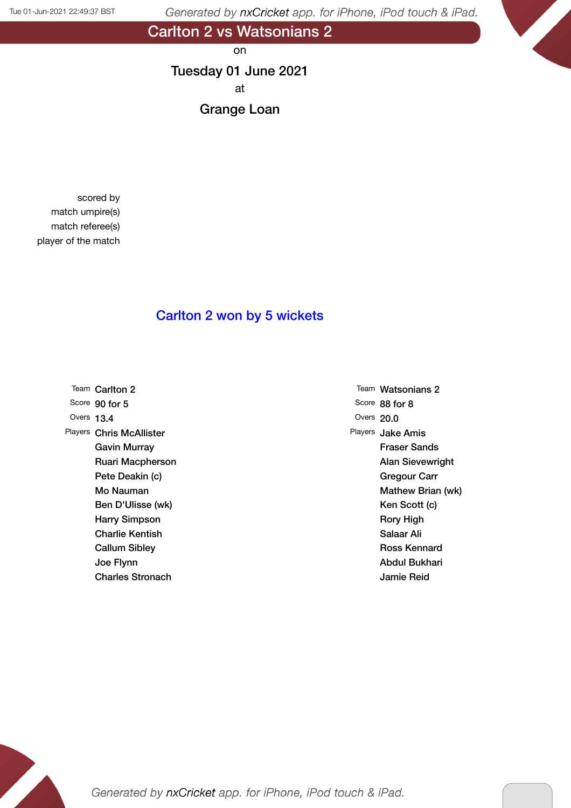Carlton 2 vs Watsonians 2

on

# Tuesday 01 June 2021 at

Grange Loan

scored by match umpire(s) match referee(s) player of the match

### Carlton 2 won by 5 wickets

|              | Team Carlton 2          |
|--------------|-------------------------|
|              | Score 90 for 5          |
| Overs $13.4$ |                         |
| Players      | <b>Chris McAllister</b> |
|              | Gavin Murray            |
|              | Ruari Macpherson        |
|              | Pete Deakin (c)         |
|              | Mo Nauman               |
|              | Ben D'Ulisse (wk)       |
|              | <b>Harry Simpson</b>    |
|              | Charlie Kentish         |
|              | <b>Callum Sibley</b>    |
|              | Joe Flynn               |
|              | <b>Charles Stronach</b> |

Team Watsonians 2 Score 88 for 8 Overs 20.0 Players Jake Amis Fraser Sands Alan Sievewright Gregour Carr Mathew Brian (wk) Ken Scott (c) Rory High Salaar Ali Ross Kennard Abdul Bukhari Jamie Reid

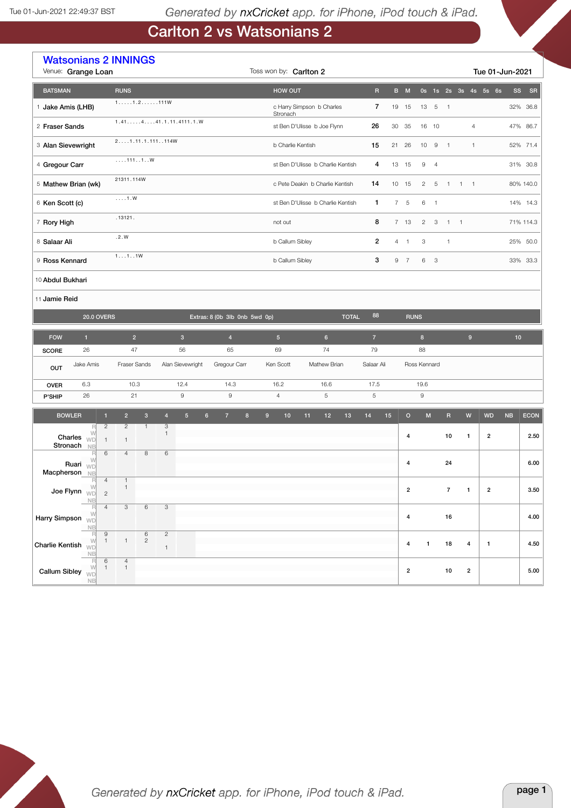# Carlton 2 vs Watsonians 2

|                       | <b>Watsonians 2 INNINGS</b><br>Venue: Grange Loan<br>Toss won by: Carlton 2<br>Tue 01-Jun-2021 |                                |                                 |                              |                              |                         |                |                               |                                   |                  |                                               |    |                           |                                   |              |                         |    |                |                |                |                |                |                         |                         |          |             |
|-----------------------|------------------------------------------------------------------------------------------------|--------------------------------|---------------------------------|------------------------------|------------------------------|-------------------------|----------------|-------------------------------|-----------------------------------|------------------|-----------------------------------------------|----|---------------------------|-----------------------------------|--------------|-------------------------|----|----------------|----------------|----------------|----------------|----------------|-------------------------|-------------------------|----------|-------------|
| <b>BATSMAN</b>        |                                                                                                |                                | <b>RUNS</b>                     |                              |                              |                         |                |                               |                                   |                  | <b>HOW OUT</b>                                |    |                           |                                   |              | $\overline{\mathsf{R}}$ |    | B M            |                |                |                |                |                         | 0s 1s 2s 3s 4s 5s 6s    | SS       | SR          |
| 1 Jake Amis (LHB)     |                                                                                                |                                | $1, \ldots, 1, 2, \ldots, 111W$ |                              |                              |                         |                |                               |                                   |                  |                                               |    | c Harry Simpson b Charles |                                   |              | $\overline{7}$          | 19 | 15             | 13             | $\overline{5}$ | $\overline{1}$ |                |                         |                         |          | 32% 36.8    |
| 2 Fraser Sands        |                                                                                                |                                |                                 |                              |                              | 1.4114441.1.11.4111.1.0 |                |                               |                                   |                  | Stronach<br>st Ben D'Ulisse b Joe Flynn<br>26 |    |                           |                                   |              | 30                      | 35 |                | 16 10          |                |                | $\overline{4}$ |                         |                         | 47% 86.7 |             |
| 3 Alan Sievewright    |                                                                                                |                                | 21.11.1.111114W                 |                              |                              |                         |                |                               |                                   |                  | 15<br>b Charlie Kentish                       |    |                           |                                   |              |                         | 21 | 26             | 10             | 9              | $\overline{1}$ |                | $\overline{1}$          |                         |          | 52% 71.4    |
| 4 Gregour Carr        |                                                                                                |                                | 1111W                           |                              |                              |                         |                |                               |                                   |                  |                                               |    |                           | st Ben D'Ulisse b Charlie Kentish |              | 4                       |    | 13 15          | 9              | $\overline{4}$ |                |                |                         |                         |          | 31% 30.8    |
| 5 Mathew Brian (wk)   |                                                                                                |                                | 21311.114W                      |                              |                              |                         |                |                               |                                   |                  |                                               |    |                           | c Pete Deakin b Charlie Kentish   |              | 14                      |    | 10 15          | $\overline{c}$ | 5              | $\overline{1}$ | $1 \quad 1$    |                         |                         |          | 80% 140.0   |
| 6 Ken Scott (c)       |                                                                                                |                                | $\ldots$ 1.W                    |                              |                              |                         |                |                               |                                   |                  |                                               |    |                           | st Ben D'Ulisse b Charlie Kentish |              | 1                       |    | 7 <sub>5</sub> | 6              | $\overline{1}$ |                |                |                         |                         |          | 14% 14.3    |
| 7 Rory High           | .13121.                                                                                        |                                |                                 |                              |                              |                         |                | 8<br>not out                  |                                   |                  |                                               |    |                           |                                   | 7 13         | $\overline{2}$          | 3  | $\overline{1}$ | $\overline{1}$ |                |                |                | 71% 114.3               |                         |          |             |
|                       | .2.W<br>8 Salaar Ali                                                                           |                                |                                 |                              |                              |                         |                |                               | $\overline{2}$<br>b Callum Sibley |                  |                                               |    |                           |                                   |              | $4 \quad 1$             | 3  |                | $\mathbf{1}$   |                |                |                |                         | 25% 50.0                |          |             |
| 9 Ross Kennard        |                                                                                                |                                | 111                             |                              |                              |                         |                |                               |                                   |                  | 3<br>b Callum Sibley                          |    |                           |                                   |              |                         |    | 9 7            | 6              | 3              |                |                |                         |                         |          | 33% 33.3    |
|                       | 10 Abdul Bukhari                                                                               |                                |                                 |                              |                              |                         |                |                               |                                   |                  |                                               |    |                           |                                   |              |                         |    |                |                |                |                |                |                         |                         |          |             |
|                       | 11 Jamie Reid                                                                                  |                                |                                 |                              |                              |                         |                |                               |                                   |                  |                                               |    |                           |                                   |              |                         |    |                |                |                |                |                |                         |                         |          |             |
|                       | <b>20.0 OVERS</b>                                                                              |                                |                                 |                              |                              |                         |                | Extras: 8 (0b 3lb 0nb 5wd 0p) |                                   |                  |                                               |    |                           |                                   | <b>TOTAL</b> | 88                      |    |                | <b>RUNS</b>    |                |                |                |                         |                         |          |             |
| <b>FOW</b>            | $\mathbf{1}$                                                                                   |                                | 2 <sup>1</sup>                  |                              |                              | $\sqrt{3}$              |                | $\overline{4}$                |                                   |                  | $5\phantom{.0}$                               |    | $6\phantom{.}$            |                                   |              | $\overline{7}$          |    |                | 8 <sup>1</sup> |                |                |                | $9$                     |                         | 10       |             |
| <b>SCORE</b>          | 26                                                                                             |                                | 47                              |                              |                              | 56                      |                | 65                            |                                   |                  | 69                                            |    | 74                        |                                   |              | 79                      |    |                | 88             |                |                |                |                         |                         |          |             |
| OUT                   | Jake Amis                                                                                      |                                | Fraser Sands                    |                              |                              | Alan Sievewright        |                | Gregour Carr                  |                                   |                  | Ken Scott                                     |    | Mathew Brian              |                                   |              | Salaar Ali              |    |                | Ross Kennard   |                |                |                |                         |                         |          |             |
| <b>OVER</b>           | 6.3                                                                                            |                                | 10.3                            |                              |                              | 12.4                    |                | 14.3                          |                                   |                  | 16.2                                          |    | 16.6                      |                                   |              | 17.5                    |    |                | 19.6           |                |                |                |                         |                         |          |             |
| P'SHIP                | 26                                                                                             |                                | 21                              |                              |                              | $\hbox{9}$              |                | $\mathsf g$                   |                                   |                  | $\overline{4}$                                |    | $\sqrt{5}$                |                                   |              | $\sqrt{5}$              |    |                | $\hbox{9}$     |                |                |                |                         |                         |          |             |
| <b>BOWLER</b>         | $\mathbb R$                                                                                    | $\mathbf{1}$<br>$\overline{c}$ | $\overline{2}$<br>$\mathbf{2}$  | $\mathbf{3}$<br>$\mathbf{1}$ | $\overline{4}$<br>3          | 5 <sup>5</sup>          | $6\phantom{1}$ | $\overline{7}$                | $\bf{8}$                          | $\boldsymbol{9}$ | 10                                            | 11 | 12                        | 13                                |              | 14                      | 15 | $\circ$        | ${\sf M}$      |                | $\mathsf R$    |                | W                       | <b>WD</b>               | NB       | <b>ECON</b> |
| Charles<br>Stronach   | W<br>WD                                                                                        | $\mathbf{1}$                   | $\mathbf{1}$                    |                              | 1                            |                         |                |                               |                                   |                  |                                               |    |                           |                                   |              |                         |    | $\overline{4}$ |                |                | 10             |                | $\mathbf{1}$            | $\overline{\mathbf{c}}$ |          | 2.50        |
|                       | <b>NB</b><br>R<br>W<br>Ruari                                                                   | 6                              | $\overline{4}$                  | 8                            | 6                            |                         |                |                               |                                   |                  |                                               |    |                           |                                   |              |                         |    | 4              |                |                | 24             |                |                         |                         |          | 6.00        |
| Macpherson            | WD<br><b>NB</b>                                                                                | $\overline{4}$                 | $\overline{\mathbf{1}}$         |                              |                              |                         |                |                               |                                   |                  |                                               |    |                           |                                   |              |                         |    |                |                |                |                |                |                         |                         |          |             |
|                       | W<br>Joe Flynn $\overline{w}$<br><b>NB</b>                                                     | $\overline{c}$                 | $\mathbf{1}$                    |                              |                              |                         |                |                               |                                   |                  |                                               |    |                           |                                   |              |                         |    | $\mathbf 2$    |                |                | $\overline{7}$ | $\mathbf{1}$   |                         | $\overline{\mathbf{c}}$ |          | 3.50        |
| <b>Harry Simpson</b>  | R<br>W<br>WD<br><b>NB</b>                                                                      | $\overline{4}$                 | 3                               | $\,6\,$                      | $_{\rm 3}$                   |                         |                |                               |                                   |                  |                                               |    |                           |                                   |              |                         |    | $\overline{4}$ |                |                | 16             |                |                         |                         |          | 4.00        |
| Charlie Kentish       | $\mathbb{R}$<br>W                                                                              | $\mathsf g$<br>$\mathbf{1}$    | $\mathbf{1}$                    | 6<br>$\sqrt{2}$              | $\mathbf{2}$<br>$\mathbf{1}$ |                         |                |                               |                                   |                  |                                               |    |                           |                                   |              |                         |    | $\pmb{4}$      | $\mathbf{1}$   |                | 18             |                | 4                       | $\mathbf{1}$            |          | 4.50        |
| Callum Sibley $_{WD}$ | NB<br>R<br>W<br><b>NB</b>                                                                      | 6<br>$\mathbf{1}$              | $\overline{4}$<br>$\mathbf{1}$  |                              |                              |                         |                |                               |                                   |                  |                                               |    |                           |                                   |              |                         |    | $\mathbf 2$    |                |                | 10             |                | $\overline{\mathbf{c}}$ |                         |          | $5.00\,$    |

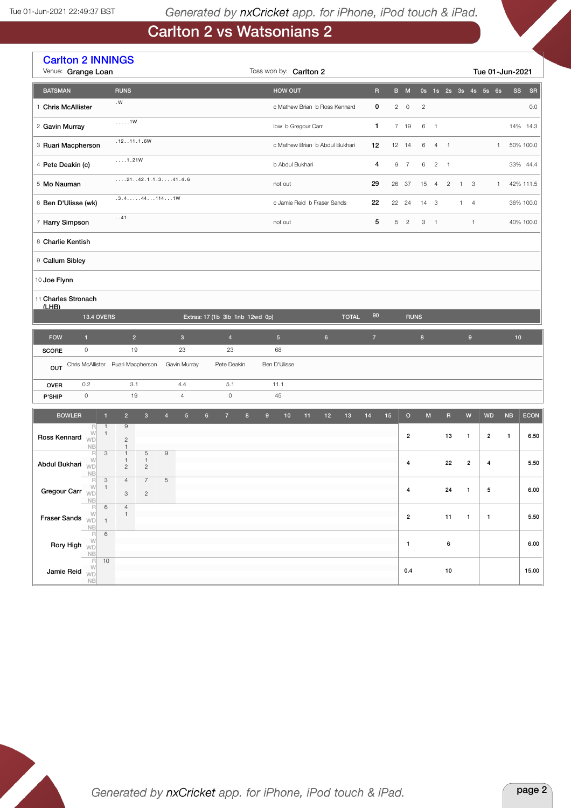# Carlton 2 vs Watsonians 2

|                                                                                                                                                                                                                                                                                                                                                                                                                                                                                              | <b>Carlton 2 INNINGS</b><br>Venue: Grange Loan<br>Toss won by: Carlton 2<br>Tue 01-Jun-2021 |                                                                                             |                                  |                                  |                  |                    |                                |              |                |    |                |                                                                                                            |                |                |                                |                      |              |                 |
|----------------------------------------------------------------------------------------------------------------------------------------------------------------------------------------------------------------------------------------------------------------------------------------------------------------------------------------------------------------------------------------------------------------------------------------------------------------------------------------------|---------------------------------------------------------------------------------------------|---------------------------------------------------------------------------------------------|----------------------------------|----------------------------------|------------------|--------------------|--------------------------------|--------------|----------------|----|----------------|------------------------------------------------------------------------------------------------------------|----------------|----------------|--------------------------------|----------------------|--------------|-----------------|
| <b>BATSMAN</b>                                                                                                                                                                                                                                                                                                                                                                                                                                                                               |                                                                                             | <b>RUNS</b>                                                                                 |                                  |                                  |                  | <b>HOW OUT</b>     |                                |              | $\overline{R}$ |    | B M            |                                                                                                            |                |                |                                | 0s 1s 2s 3s 4s 5s 6s |              | <b>SR</b><br>SS |
| 1 Chris McAllister                                                                                                                                                                                                                                                                                                                                                                                                                                                                           |                                                                                             | . $\mathsf{W}$                                                                              |                                  |                                  |                  |                    | c Mathew Brian b Ross Kennard  |              | 0              |    | $2 \quad 0$    | $\overline{c}$                                                                                             |                |                |                                |                      |              | 0.0             |
| 2 Gavin Murray                                                                                                                                                                                                                                                                                                                                                                                                                                                                               |                                                                                             | $\ldots$ . 1W                                                                               |                                  |                                  |                  | Ibw b Gregour Carr |                                |              | 1              |    | 7 19           | 6                                                                                                          | $\overline{1}$ |                |                                |                      |              | 14% 14.3        |
| 3 Ruari Macpherson                                                                                                                                                                                                                                                                                                                                                                                                                                                                           |                                                                                             | .12. .11.1.6W                                                                               |                                  |                                  |                  |                    | c Mathew Brian b Abdul Bukhari |              | 12             |    | 12 14          | 6                                                                                                          | $\overline{4}$ | $\overline{1}$ |                                |                      | $\mathbf{1}$ | 50% 100.0       |
| 4 Pete Deakin (c)                                                                                                                                                                                                                                                                                                                                                                                                                                                                            |                                                                                             | 1.21W                                                                                       |                                  |                                  |                  | b Abdul Bukhari    |                                |              | 4              | 9  | $\overline{7}$ | 6                                                                                                          | $\overline{2}$ | $\overline{1}$ |                                |                      |              | 33% 44.4        |
| 5 Mo Nauman                                                                                                                                                                                                                                                                                                                                                                                                                                                                                  |                                                                                             | $\ldots$ .2142.1.1.341.4.6                                                                  |                                  |                                  |                  | not out            |                                |              | 29             |    | 26 37          | 15                                                                                                         | 4              | $\overline{c}$ | $\overline{1}$                 | 3                    | $\mathbf{1}$ | 42% 111.5       |
| 6 Ben D'Ulisse (wk)                                                                                                                                                                                                                                                                                                                                                                                                                                                                          |                                                                                             | $.3.4. \ldots .44.114.1W$                                                                   |                                  |                                  |                  |                    | c Jamie Reid b Fraser Sands    |              | 22             |    | 22 24          | 14                                                                                                         | 3              |                | $\mathbf{1}$<br>$\overline{4}$ |                      |              | 36% 100.0       |
| 7 Harry Simpson                                                                                                                                                                                                                                                                                                                                                                                                                                                                              |                                                                                             | . .41.                                                                                      |                                  |                                  |                  | not out            |                                |              | 5              | 5  | $\overline{2}$ | 3                                                                                                          | $\overline{1}$ |                |                                | $\mathbf{1}$         |              | 40% 100.0       |
| 8 Charlie Kentish                                                                                                                                                                                                                                                                                                                                                                                                                                                                            |                                                                                             |                                                                                             |                                  |                                  |                  |                    |                                |              |                |    |                |                                                                                                            |                |                |                                |                      |              |                 |
| 9 Callum Sibley                                                                                                                                                                                                                                                                                                                                                                                                                                                                              |                                                                                             |                                                                                             |                                  |                                  |                  |                    |                                |              |                |    |                |                                                                                                            |                |                |                                |                      |              |                 |
| 10 Joe Flynn                                                                                                                                                                                                                                                                                                                                                                                                                                                                                 |                                                                                             |                                                                                             |                                  |                                  |                  |                    |                                |              |                |    |                |                                                                                                            |                |                |                                |                      |              |                 |
|                                                                                                                                                                                                                                                                                                                                                                                                                                                                                              | 11 Charles Stronach                                                                         |                                                                                             |                                  |                                  |                  |                    |                                |              |                |    |                |                                                                                                            |                |                |                                |                      |              |                 |
| $(1$ HR)                                                                                                                                                                                                                                                                                                                                                                                                                                                                                     | <b>13.4 OVERS</b>                                                                           |                                                                                             |                                  | Extras: 17 (1b 3lb 1nb 12wd 0p)  |                  |                    |                                | <b>TOTAL</b> | 90             |    | <b>RUNS</b>    |                                                                                                            |                |                |                                |                      |              |                 |
| <b>FOW</b>                                                                                                                                                                                                                                                                                                                                                                                                                                                                                   | $\mathbf{1}$                                                                                | 2 <sup>1</sup>                                                                              | $\mathbf 3$                      | $\overline{4}$                   |                  | 5 <sub>5</sub>     | $6\phantom{.}$                 |              | $\overline{7}$ |    |                | $\bf8$                                                                                                     |                |                | $\boldsymbol{9}$               |                      |              | 10              |
| <b>SCORE</b>                                                                                                                                                                                                                                                                                                                                                                                                                                                                                 | $\circ$                                                                                     | 19                                                                                          | 23                               | 23                               |                  | 68                 |                                |              |                |    |                |                                                                                                            |                |                |                                |                      |              |                 |
| OUT                                                                                                                                                                                                                                                                                                                                                                                                                                                                                          |                                                                                             | Chris McAllister Ruari Macpherson                                                           | Gavin Murray                     | Pete Deakin                      |                  | Ben D'Ulisse       |                                |              |                |    |                |                                                                                                            |                |                |                                |                      |              |                 |
| <b>OVER</b>                                                                                                                                                                                                                                                                                                                                                                                                                                                                                  | 0.2                                                                                         | 3.1                                                                                         | 4.4                              | 5.1                              |                  | 11.1               |                                |              |                |    |                |                                                                                                            |                |                |                                |                      |              |                 |
| P'SHIP                                                                                                                                                                                                                                                                                                                                                                                                                                                                                       | $\mathsf{O}\xspace$                                                                         | 19                                                                                          | $\overline{4}$                   | $\mathsf O$                      |                  | 45                 |                                |              |                |    |                |                                                                                                            |                |                |                                |                      |              |                 |
| <b>BOWLER</b>                                                                                                                                                                                                                                                                                                                                                                                                                                                                                |                                                                                             | $\overline{2}$<br>$\mathbf{3}$<br>$\blacksquare$                                            | $\overline{4}$<br>$5\phantom{.}$ | $6\phantom{.}$<br>$\overline{7}$ | $\bf 8$<br>$9\,$ | $10$               | 11<br>12                       | 13           | 14             | 15 | $\mathbf O$    | $\mathsf{M}% _{T}=\mathsf{M}_{T}\!\left( a,b\right) ,\ \mathsf{M}_{T}=\mathsf{M}_{T}\!\left( a,b\right) ,$ |                | $\mathsf R$    | $\mathsf{W}$                   | <b>WD</b>            | NB           | <b>ECON</b>     |
| Ross Kennard                                                                                                                                                                                                                                                                                                                                                                                                                                                                                 | R<br>W<br>WD                                                                                | $\mathbf{1}$<br>9<br>$\mathbf{1}$<br>$\mathbf{2}$                                           |                                  |                                  |                  |                    |                                |              |                |    | $\overline{2}$ |                                                                                                            |                | 13             | $\mathbf{1}$                   | $\overline{2}$       | $\mathbf{1}$ | 6.50            |
|                                                                                                                                                                                                                                                                                                                                                                                                                                                                                              | <b>NB</b><br>R<br>W                                                                         | $\mathbf{1}$<br>$\,$ 5 $\,$<br>3<br>$\mathbf{1}$<br>$\mathbf{1}$<br>1                       | $\hbox{9}$                       |                                  |                  |                    |                                |              |                |    | $\overline{4}$ |                                                                                                            |                | 22             | $\boldsymbol{2}$               | 4                    |              | 5.50            |
| Abdul Bukhari                                                                                                                                                                                                                                                                                                                                                                                                                                                                                | WD<br>NB                                                                                    | $\mathbf{2}$<br>$\mathbf{2}$                                                                |                                  |                                  |                  |                    |                                |              |                |    |                |                                                                                                            |                |                |                                |                      |              |                 |
| Gregour Carr $\sqrt[N]{\mathbb{Q}}$                                                                                                                                                                                                                                                                                                                                                                                                                                                          | $\overline{1}$                                                                              | $\overline{\mathbf{3}}$<br>$\overline{7}$<br>$\overline{4}$<br>$_{\rm 3}$<br>$\overline{c}$ | $\,$ 5 $\,$                      |                                  |                  |                    |                                |              |                |    | $\pmb{4}$      |                                                                                                            |                | 24             | $\mathbf{1}$                   | ${\bf 5}$            |              | 6.00            |
| Fraser Sands WD                                                                                                                                                                                                                                                                                                                                                                                                                                                                              | NB<br>$\mathbb{R}$<br>W                                                                     | $\,6\,$<br>$\overline{4}$<br>$\mathbf{1}$                                                   |                                  |                                  |                  |                    |                                |              |                |    | $\mathbf{2}$   |                                                                                                            |                | 11             | $\mathbf{1}$                   | $\mathbf{1}$         |              | 5.50            |
|                                                                                                                                                                                                                                                                                                                                                                                                                                                                                              | $\begin{array}{c}\n\overline{N} \\ \overline{R} \\ \overline{W}\n\end{array}$               | $\overline{1}$<br>$\sqrt{6}$                                                                |                                  |                                  |                  |                    |                                |              |                |    |                |                                                                                                            |                |                |                                |                      |              |                 |
| Rory High $\sqrt{v}$                                                                                                                                                                                                                                                                                                                                                                                                                                                                         | NB                                                                                          |                                                                                             |                                  |                                  |                  |                    |                                |              |                |    | $\mathbf{1}$   |                                                                                                            |                | 6              |                                |                      |              | 6.00            |
| $\begin{tabular}{c} \multicolumn{1}{c }{ \multicolumn{2}{c }{ }} \multicolumn{2}{c }{ \multicolumn{2}{c }{ }} \multicolumn{2}{c }{ \multicolumn{2}{c }{ }} \multicolumn{2}{c }{ \multicolumn{2}{c }{ }} \multicolumn{2}{c }{ \multicolumn{2}{c }{ }} \multicolumn{2}{c }{ \multicolumn{2}{c }{ }} \multicolumn{2}{c }{ \multicolumn{2}{c }{ }} \multicolumn{2}{c }{ \multicolumn{2}{c }{ }} \multicolumn{2}{c }{ \multicolumn{2}{c }{ }} \multicolumn{2}{c }{ \multicolumn{2}{c }{ }} \mult$ | <b>NB</b>                                                                                   | 10                                                                                          |                                  |                                  |                  |                    |                                |              |                |    | $0.4\,$        |                                                                                                            |                | $10$           |                                |                      |              | 15.00           |

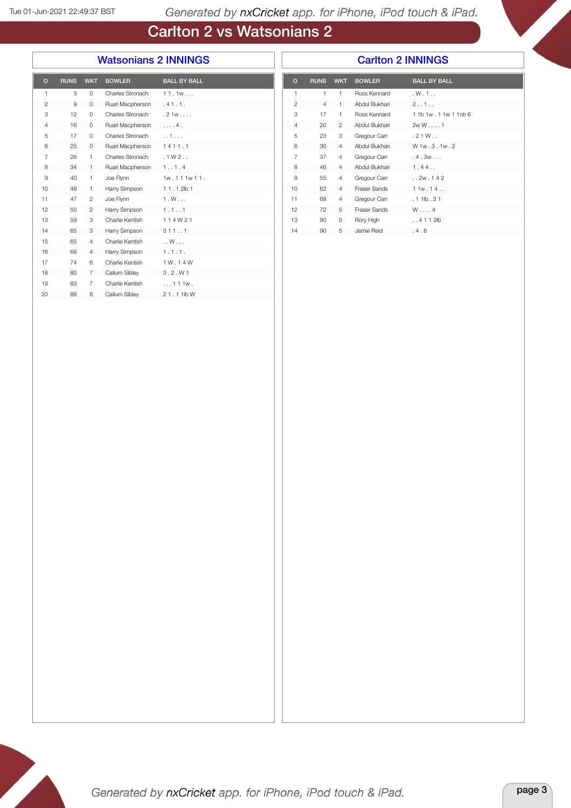## Carlton 2 vs Watsonians 2

#### Watsonians 2 INNINGS

#### Carlton 2 INNINGS

| $\circ$        | <b>RUNS</b> | <b>WKT</b>     | <b>BOWLER</b>    | <b>BALL BY BALL</b> |
|----------------|-------------|----------------|------------------|---------------------|
| $\mathbf{1}$   | 3           | $\mathbf 0$    | Charles Stronach | 11.1w               |
| $\overline{2}$ | 9           | $\circ$        | Ruari Macpherson | .41.1.              |
| 3              | 12          | 0              | Charles Stronach | .21w                |
| 4              | 16          | 0              | Ruari Macpherson | . 4.                |
| 5              | 17          | 0              | Charles Stronach | 1.11                |
| 6              | 25          | 0              | Ruari Macpherson | 1411.1              |
| 7              | 28          | 1              | Charles Stronach | .1W2                |
| 8              | 34          | 1              | Ruari Macpherson | 1.1.4               |
| 9              | 40          | 1              | Joe Flynn        | 1w.111w11.          |
| 10             | 46          | 1              | Harry Simpson    | $11.12$ lb 1        |
| 11             | 47          | $\overline{2}$ | Joe Flynn        | $1. W.$             |
| 12             | 50          | $\overline{c}$ | Harry Simpson    | 1.1.1               |
| 13             | 59          | 3              | Charlie Kentish  | 114W21              |
| 14             | 65          | 3              | Harry Simpson    | 3111                |
| 15             | 65          | 4              | Charlie Kentish  | $\ldots$ W $\ldots$ |
| 16             | 68          | 4              | Harry Simpson    | 1.1.1.              |
| 17             | 74          | 6              | Charlie Kentish  | 1 W . 1 4 W         |
| 18             | 80          | 7              | Callum Sibley    | 3.2. W1             |
| 19             | 83          | 7              | Charlie Kentish  | $\dots$ 111 $w$ .   |
| 20             | 88          | 8              | Callum Sibley    | 21.11bW             |
|                |             |                |                  |                     |

| $\circ$        | <b>RUNS</b>    | <b>WKT</b>     | <b>BOWLER</b>       | <b>BALL BY BALL</b>         |
|----------------|----------------|----------------|---------------------|-----------------------------|
| 1              | 1              | $\mathbf{1}$   | Ross Kennard        | .W.1.                       |
| $\overline{2}$ | $\overline{4}$ | $\mathbf{1}$   | Abdul Bukhari       | 2.01.0                      |
| 3              | 17             | $\mathbf{1}$   | Ross Kennard        | 1 1 b 1 w . 1 1 w 1 1 n b 6 |
| $\overline{4}$ | 20             | $\overline{2}$ | Abdul Bukhari       | 2wW1                        |
| 5              | 23             | 3              | Gregour Carr        | .21W                        |
| 6              | 30             | $\overline{4}$ | Abdul Bukhari       | W 1w . 3 . 1w . 2           |
| $\overline{7}$ | 37             | $\overline{4}$ | Gregour Carr        | .4.3w                       |
| 8              | 46             | 4              | Abdul Bukhari       | 1.44                        |
| 9              | 55             | $\overline{4}$ | Gregour Carr        | .2w.142                     |
| 10             | 62             | $\overline{4}$ | <b>Fraser Sands</b> | 11w.14                      |
| 11             | 68             | $\overline{4}$ | Gregour Carr        | $.11$ lb $.31$              |
| 12             | 72             | 5              | <b>Fraser Sands</b> | $W \ldots 4$                |
| 13             | 80             | 5              | Rory High           | $.4112$ lb                  |
| 14             | 90             | 5              | Jamie Reid          | .4.6                        |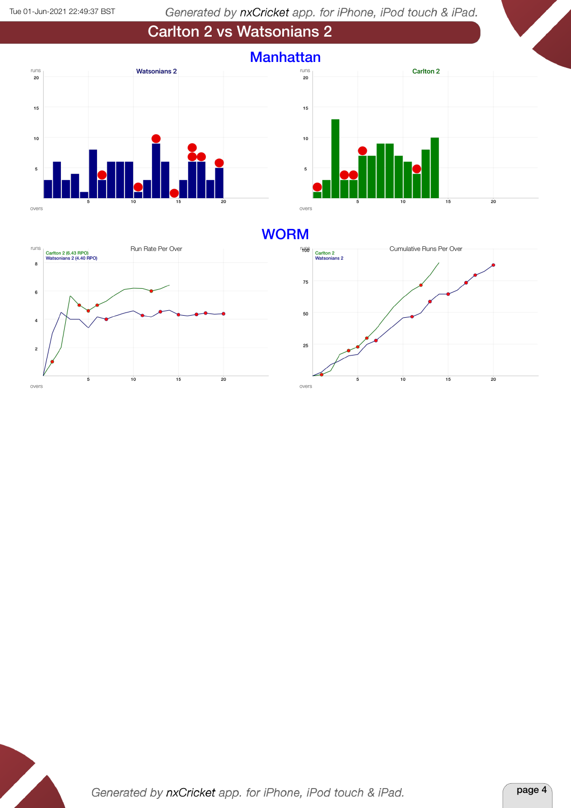





#### **WORM**